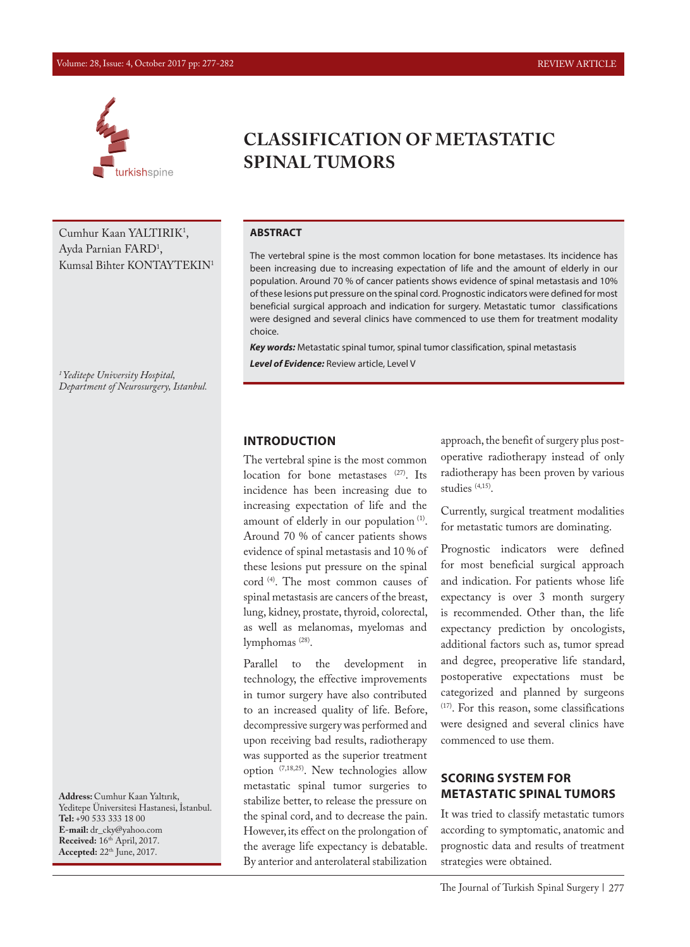#### Volume: 28, Issue: 4, October 2017 pp: 277-282 REVIEW ARTICLE



Cumhur Kaan YALTIRIK<sup>1</sup>, Ayda Parnian FARD<sup>1</sup>, Kumsal Bihter KONTAYTEKIN1

*1 Yeditepe University Hospital, Department of Neurosurgery, Istanbul.*

**Address:** Cumhur Kaan Yaltırık, Yeditepe Üniversitesi Hastanesi, İstanbul. **Tel:** +90 533 333 18 00 **E-mail:** dr\_cky@yahoo.com **Received:** 16th April, 2017. **Accepted:** 22th June, 2017.

# **CLASSIFICATION OF METASTATIC SPINAL TUMORS**

#### **ABSTRACT**

The vertebral spine is the most common location for bone metastases. Its incidence has been increasing due to increasing expectation of life and the amount of elderly in our population. Around 70 % of cancer patients shows evidence of spinal metastasis and 10% of these lesions put pressure on the spinal cord. Prognostic indicators were defined for most beneficial surgical approach and indication for surgery. Metastatic tumor classifications were designed and several clinics have commenced to use them for treatment modality choice.

*Key words:* Metastatic spinal tumor, spinal tumor classification, spinal metastasis *Level of Evidence:* Review article, Level V

#### **INTRODUCTION**

The vertebral spine is the most common location for bone metastases (27). Its incidence has been increasing due to increasing expectation of life and the amount of elderly in our population<sup>(1)</sup>. Around 70 % of cancer patients shows evidence of spinal metastasis and 10 % of these lesions put pressure on the spinal cord (4). The most common causes of spinal metastasis are cancers of the breast, lung, kidney, prostate, thyroid, colorectal, as well as melanomas, myelomas and lymphomas (28).

Parallel to the development in technology, the effective improvements in tumor surgery have also contributed to an increased quality of life. Before, decompressive surgery was performed and upon receiving bad results, radiotherapy was supported as the superior treatment option (7,18,25). New technologies allow metastatic spinal tumor surgeries to stabilize better, to release the pressure on the spinal cord, and to decrease the pain. However, its effect on the prolongation of the average life expectancy is debatable. By anterior and anterolateral stabilization

approach, the benefit of surgery plus postoperative radiotherapy instead of only radiotherapy has been proven by various studies (4,15).

Currently, surgical treatment modalities for metastatic tumors are dominating.

Prognostic indicators were defined for most beneficial surgical approach and indication. For patients whose life expectancy is over 3 month surgery is recommended. Other than, the life expectancy prediction by oncologists, additional factors such as, tumor spread and degree, preoperative life standard, postoperative expectations must be categorized and planned by surgeons (17). For this reason, some classifications were designed and several clinics have commenced to use them.

### **SCORING SYSTEM FOR METASTATIC SPINAL TUMORS**

It was tried to classify metastatic tumors according to symptomatic, anatomic and prognostic data and results of treatment strategies were obtained.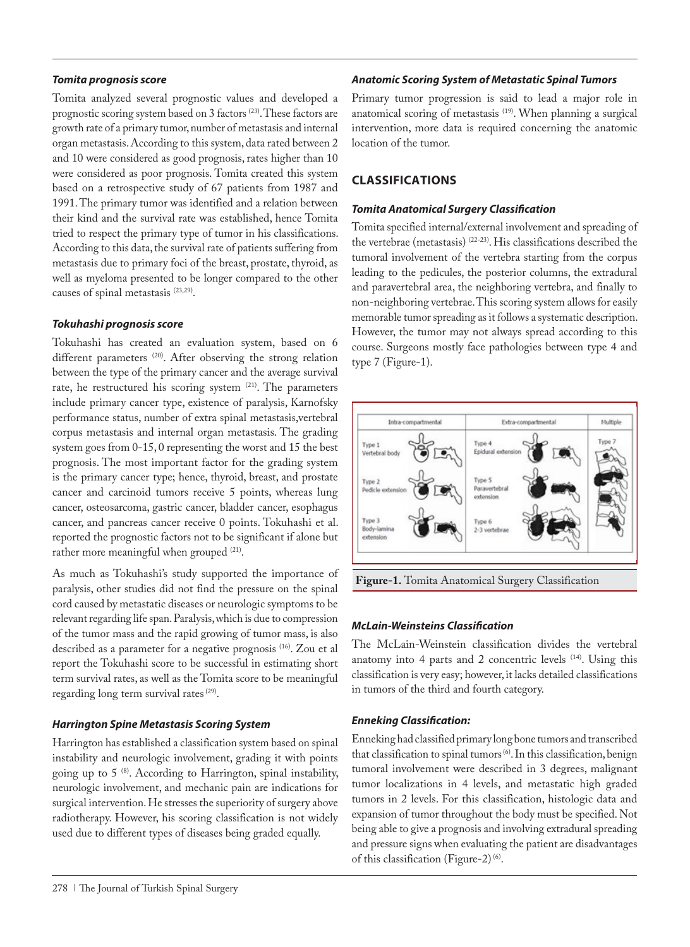#### *Tomita prognosis score*

Tomita analyzed several prognostic values and developed a prognostic scoring system based on 3 factors (23). These factors are growth rate of a primary tumor, number of metastasis and internal organ metastasis. According to this system, data rated between 2 and 10 were considered as good prognosis, rates higher than 10 were considered as poor prognosis. Tomita created this system based on a retrospective study of 67 patients from 1987 and 1991. The primary tumor was identified and a relation between their kind and the survival rate was established, hence Tomita tried to respect the primary type of tumor in his classifications. According to this data, the survival rate of patients suffering from metastasis due to primary foci of the breast, prostate, thyroid, as well as myeloma presented to be longer compared to the other causes of spinal metastasis (23,29).

### *Tokuhashi prognosis score*

Tokuhashi has created an evaluation system, based on 6 different parameters<sup>(20)</sup>. After observing the strong relation between the type of the primary cancer and the average survival rate, he restructured his scoring system  $(21)$ . The parameters include primary cancer type, existence of paralysis, Karnofsky performance status, number of extra spinal metastasis,vertebral corpus metastasis and internal organ metastasis. The grading system goes from 0-15, 0 representing the worst and 15 the best prognosis. The most important factor for the grading system is the primary cancer type; hence, thyroid, breast, and prostate cancer and carcinoid tumors receive 5 points, whereas lung cancer, osteosarcoma, gastric cancer, bladder cancer, esophagus cancer, and pancreas cancer receive 0 points. Tokuhashi et al. reported the prognostic factors not to be significant if alone but rather more meaningful when grouped <sup>(21)</sup>.

As much as Tokuhashi's study supported the importance of paralysis, other studies did not find the pressure on the spinal cord caused by metastatic diseases or neurologic symptoms to be relevant regarding life span. Paralysis, which is due to compression of the tumor mass and the rapid growing of tumor mass, is also described as a parameter for a negative prognosis (16). Zou et al report the Tokuhashi score to be successful in estimating short term survival rates, as well as the Tomita score to be meaningful regarding long term survival rates (29).

### *Harrington Spine Metastasis Scoring System*

Harrington has established a classification system based on spinal instability and neurologic involvement, grading it with points going up to  $5^{(8)}$ . According to Harrington, spinal instability, neurologic involvement, and mechanic pain are indications for surgical intervention. He stresses the superiority of surgery above radiotherapy. However, his scoring classification is not widely used due to different types of diseases being graded equally.

### *Anatomic Scoring System of Metastatic Spinal Tumors*

Primary tumor progression is said to lead a major role in anatomical scoring of metastasis (19). When planning a surgical intervention, more data is required concerning the anatomic location of the tumor.

### **CLASSIFICATIONS**

#### *Tomita Anatomical Surgery Classification*

Tomita specified internal/external involvement and spreading of the vertebrae (metastasis) (22-23). His classifications described the tumoral involvement of the vertebra starting from the corpus leading to the pedicules, the posterior columns, the extradural and paravertebral area, the neighboring vertebra, and finally to non-neighboring vertebrae. This scoring system allows for easily memorable tumor spreading as it follows a systematic description. However, the tumor may not always spread according to this course. Surgeons mostly face pathologies between type 4 and type 7 (Figure-1).



**Figure-1.** Tomita Anatomical Surgery Classification

### *McLain-Weinsteins Classification*

The McLain-Weinstein classification divides the vertebral anatomy into 4 parts and 2 concentric levels  $(14)$ . Using this classification is very easy; however, it lacks detailed classifications in tumors of the third and fourth category.

### *Enneking Classification:*

Enneking had classified primary long bone tumors and transcribed that classification to spinal tumors<sup>(6)</sup>. In this classification, benign tumoral involvement were described in 3 degrees, malignant tumor localizations in 4 levels, and metastatic high graded tumors in 2 levels. For this classification, histologic data and expansion of tumor throughout the body must be specified. Not being able to give a prognosis and involving extradural spreading and pressure signs when evaluating the patient are disadvantages of this classification (Figure-2) (6).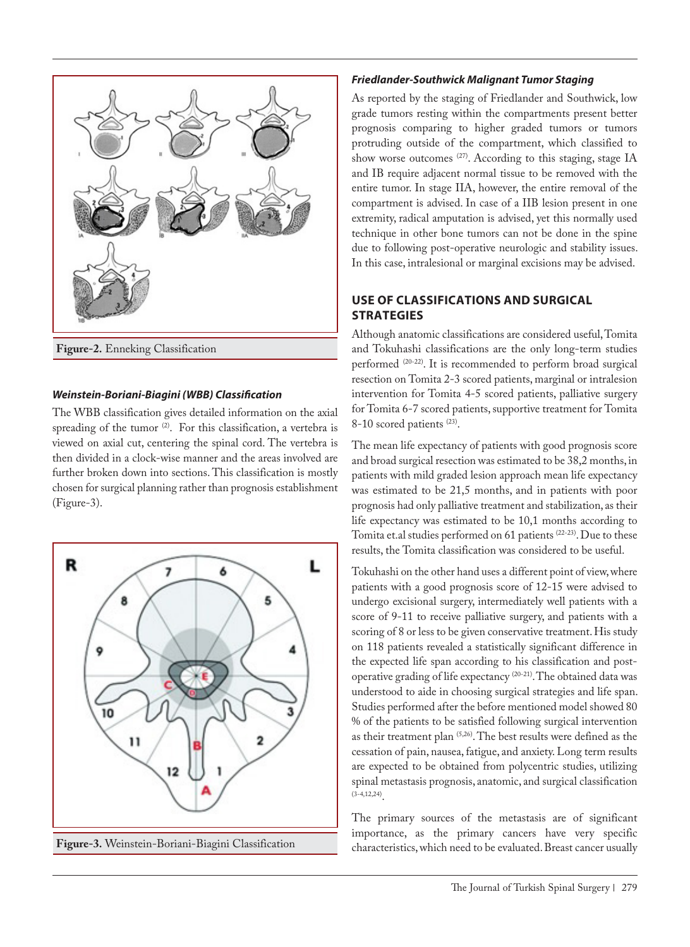

## *Weinstein-Boriani-Biagini (WBB) Classification*

The WBB classification gives detailed information on the axial spreading of the tumor <sup>(2)</sup>. For this classification, a vertebra is viewed on axial cut, centering the spinal cord. The vertebra is then divided in a clock-wise manner and the areas involved are further broken down into sections. This classification is mostly chosen for surgical planning rather than prognosis establishment (Figure-3).



#### *Friedlander-Southwick Malignant Tumor Staging*

As reported by the staging of Friedlander and Southwick, low grade tumors resting within the compartments present better prognosis comparing to higher graded tumors or tumors protruding outside of the compartment, which classified to show worse outcomes <sup>(27)</sup>. According to this staging, stage IA and IB require adjacent normal tissue to be removed with the entire tumor. In stage IIA, however, the entire removal of the compartment is advised. In case of a IIB lesion present in one extremity, radical amputation is advised, yet this normally used technique in other bone tumors can not be done in the spine due to following post-operative neurologic and stability issues. In this case, intralesional or marginal excisions may be advised.

### **USE OF CLASSIFICATIONS AND SURGICAL STRATEGIES**

Although anatomic classifications are considered useful, Tomita and Tokuhashi classifications are the only long-term studies performed (20-22). It is recommended to perform broad surgical resection on Tomita 2-3 scored patients, marginal or intralesion intervention for Tomita 4-5 scored patients, palliative surgery for Tomita 6-7 scored patients, supportive treatment for Tomita 8-10 scored patients<sup>(23)</sup>.

The mean life expectancy of patients with good prognosis score and broad surgical resection was estimated to be 38,2 months, in patients with mild graded lesion approach mean life expectancy was estimated to be 21,5 months, and in patients with poor prognosis had only palliative treatment and stabilization, as their life expectancy was estimated to be 10,1 months according to Tomita et.al studies performed on 61 patients <sup>(22-23)</sup>. Due to these results, the Tomita classification was considered to be useful.

Tokuhashi on the other hand uses a different point of view, where patients with a good prognosis score of 12-15 were advised to undergo excisional surgery, intermediately well patients with a score of 9-11 to receive palliative surgery, and patients with a scoring of 8 or less to be given conservative treatment. His study on 118 patients revealed a statistically significant difference in the expected life span according to his classification and postoperative grading of life expectancy (20-21). The obtained data was understood to aide in choosing surgical strategies and life span. Studies performed after the before mentioned model showed 80 % of the patients to be satisfied following surgical intervention as their treatment plan (5,26). The best results were defined as the cessation of pain, nausea, fatigue, and anxiety. Long term results are expected to be obtained from polycentric studies, utilizing spinal metastasis prognosis, anatomic, and surgical classification  $(3-4, 12, 24)$ 

The primary sources of the metastasis are of significant importance, as the primary cancers have very specific characteristics, which need to be evaluated. Breast cancer usually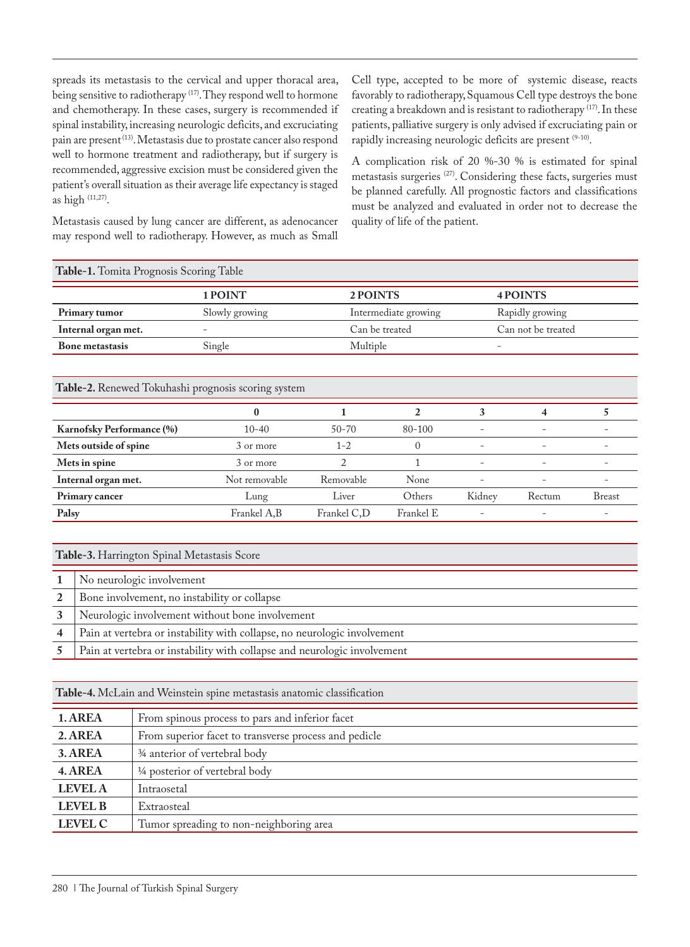spreads its metastasis to the cervical and upper thoracal area, being sensitive to radiotherapy <sup>(17)</sup>. They respond well to hormone and chemotherapy. In these cases, surgery is recommended if spinal instability, increasing neurologic deficits, and excruciating pain are present<sup>(13)</sup>. Metastasis due to prostate cancer also respond well to hormone treatment and radiotherapy, but if surgery is recommended, aggressive excision must be considered given the patient's overall situation as their average life expectancy is staged as high (11,27).

Metastasis caused by lung cancer are different, as adenocancer may respond well to radiotherapy. However, as much as Small

Cell type, accepted to be more of systemic disease, reacts favorably to radiotherapy, Squamous Cell type destroys the bone creating a breakdown and is resistant to radiotherapy<sup>(17)</sup>. In these patients, palliative surgery is only advised if excruciating pain or rapidly increasing neurologic deficits are present <sup>(9-10)</sup>.

A complication risk of 20 %-30 % is estimated for spinal metastasis surgeries (27). Considering these facts, surgeries must be planned carefully. All prognostic factors and classifications must be analyzed and evaluated in order not to decrease the quality of life of the patient.

| <b>Table-1.</b> Tomita Prognosis Scoring Table |                |                      |                    |  |
|------------------------------------------------|----------------|----------------------|--------------------|--|
|                                                | 1 POINT        | 2 POINTS             | 4 POINTS           |  |
| Primary tumor                                  | Slowly growing | Intermediate growing | Rapidly growing    |  |
| Internal organ met.                            | -              | Can be treated       | Can not be treated |  |
| <b>Bone metastasis</b>                         | Single         | Multiple             |                    |  |

#### **Table-2.** Renewed Tokuhashi prognosis scoring system

|                           | 0             |             |            |                          |                          |                          |
|---------------------------|---------------|-------------|------------|--------------------------|--------------------------|--------------------------|
| Karnofsky Performance (%) | $10 - 40$     | $50 - 70$   | $80 - 100$ | $\qquad \qquad -$        | $\overline{\phantom{0}}$ | $\overline{\phantom{0}}$ |
| Mets outside of spine     | 3 or more     | $1 - 2$     | $\theta$   | $\overline{\phantom{a}}$ | $\overline{\phantom{0}}$ | $\overline{\phantom{0}}$ |
| Mets in spine             | 3 or more     |             |            | $\overline{\phantom{0}}$ | $\overline{\phantom{0}}$ |                          |
| Internal organ met.       | Not removable | Removable   | None       | $\overline{\phantom{a}}$ | $\overline{\phantom{0}}$ |                          |
| Primary cancer            | Lung          | Liver       | Others     | Kidney                   | Rectum                   | Breast                   |
| Palsy                     | Frankel A,B   | Frankel C,D | Frankel E  | $\overline{\phantom{m}}$ | $\overline{\phantom{0}}$ | $\overline{\phantom{0}}$ |

| Table-3. Harrington Spinal Metastasis Score |                                                                          |  |
|---------------------------------------------|--------------------------------------------------------------------------|--|
|                                             | No neurologic involvement                                                |  |
| 2                                           | Bone involvement, no instability or collapse                             |  |
|                                             | Neurologic involvement without bone involvement                          |  |
| 4                                           | Pain at vertebra or instability with collapse, no neurologic involvement |  |
|                                             | Pain at vertebra or instability with collapse and neurologic involvement |  |

| Table-4. McLain and Weinstein spine metastasis anatomic classification |                                                       |  |
|------------------------------------------------------------------------|-------------------------------------------------------|--|
| 1. AREA                                                                | From spinous process to pars and inferior facet       |  |
| 2. AREA                                                                | From superior facet to transverse process and pedicle |  |
| 3. AREA                                                                | 3⁄4 anterior of vertebral body                        |  |
| 4. AREA                                                                | 1/4 posterior of vertebral body                       |  |
| <b>LEVEL A</b>                                                         | Intraosetal                                           |  |
| <b>LEVEL B</b>                                                         | Extraosteal                                           |  |
| <b>LEVEL C</b>                                                         | Tumor spreading to non-neighboring area               |  |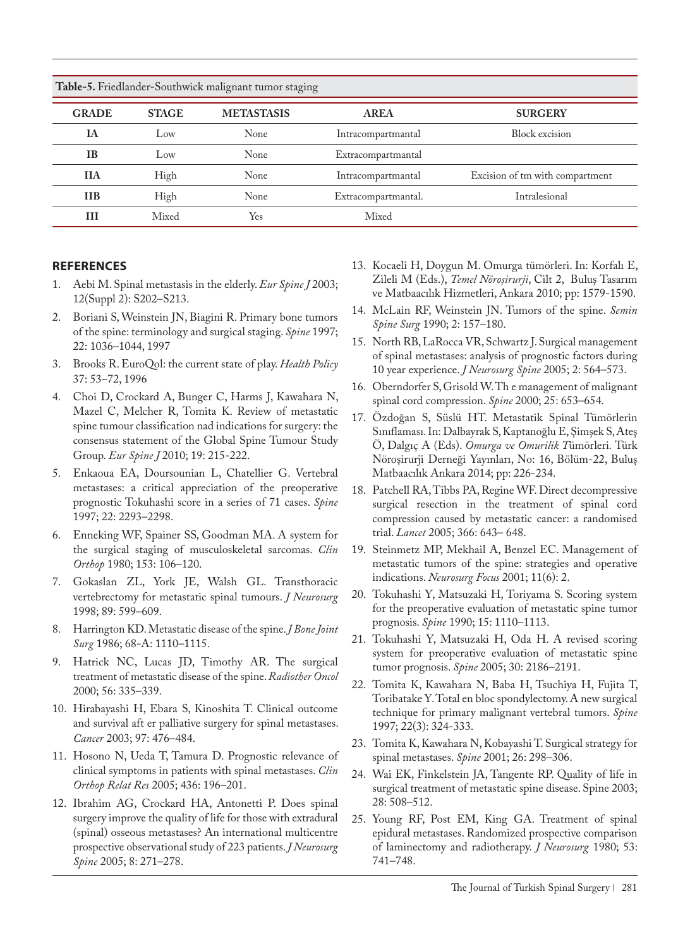| Table-5. Friedlander-Southwick malignant tumor staging |              |                   |                     |                                 |  |  |
|--------------------------------------------------------|--------------|-------------------|---------------------|---------------------------------|--|--|
| <b>GRADE</b>                                           | <b>STAGE</b> | <b>METASTASIS</b> | <b>AREA</b>         | <b>SURGERY</b>                  |  |  |
| <b>IA</b>                                              | Low          | None              | Intracompartmantal  | Block excision                  |  |  |
| <b>IB</b>                                              | Low          | None              | Extracompartmantal  |                                 |  |  |
| <b>IIA</b>                                             | High         | None              | Intracompartmantal  | Excision of tm with compartment |  |  |
| <b>IIB</b>                                             | High         | None              | Extracompartmantal. | Intralesional                   |  |  |
| Ш                                                      | Mixed        | Yes               | Mixed               |                                 |  |  |

#### **REFERENCES**

- 1. Aebi M. Spinal metastasis in the elderly. *Eur Spine J* 2003; 12(Suppl 2): S202–S213.
- 2. Boriani S, Weinstein JN, Biagini R. Primary bone tumors of the spine: terminology and surgical staging. *Spine* 1997; 22: 1036–1044, 1997
- 3. Brooks R. EuroQol: the current state of play. *Health Policy* 37: 53–72, 1996
- 4. Choi D, Crockard A, Bunger C, Harms J, Kawahara N, Mazel C, Melcher R, Tomita K. Review of metastatic spine tumour classification nad indications for surgery: the consensus statement of the Global Spine Tumour Study Group. *Eur Spine J* 2010; 19: 215-222.
- 5. Enkaoua EA, Doursounian L, Chatellier G. Vertebral metastases: a critical appreciation of the preoperative prognostic Tokuhashi score in a series of 71 cases. *Spine* 1997; 22: 2293–2298.
- 6. Enneking WF, Spainer SS, Goodman MA. A system for the surgical staging of musculoskeletal sarcomas. *Clin Orthop* 1980; 153: 106–120.
- 7. Gokaslan ZL, York JE, Walsh GL. Transthoracic vertebrectomy for metastatic spinal tumours. *J Neurosurg* 1998; 89: 599–609.
- 8. Harrington KD. Metastatic disease of the spine. *J Bone Joint Surg* 1986; 68-A: 1110–1115.
- 9. Hatrick NC, Lucas JD, Timothy AR. The surgical treatment of metastatic disease of the spine. *Radiother Oncol* 2000; 56: 335–339.
- 10. Hirabayashi H, Ebara S, Kinoshita T. Clinical outcome and survival aft er palliative surgery for spinal metastases. *Cancer* 2003; 97: 476–484.
- 11. Hosono N, Ueda T, Tamura D. Prognostic relevance of clinical symptoms in patients with spinal metastases. *Clin Orthop Relat Res* 2005; 436: 196–201.
- 12. Ibrahim AG, Crockard HA, Antonetti P. Does spinal surgery improve the quality of life for those with extradural (spinal) osseous metastases? An international multicentre prospective observational study of 223 patients. *J Neurosurg Spine* 2005; 8: 271–278.
- 13. Kocaeli H, Doygun M. Omurga tümörleri. In: Korfalı E, Zileli M (Eds.), *Temel Nöroşirurji*, Cilt 2, Buluş Tasarım ve Matbaacılık Hizmetleri, Ankara 2010; pp: 1579-1590.
- 14. McLain RF, Weinstein JN. Tumors of the spine. *Semin Spine Surg* 1990; 2: 157–180.
- 15. North RB, LaRocca VR, Schwartz J. Surgical management of spinal metastases: analysis of prognostic factors during 10 year experience. *J Neurosurg Spine* 2005; 2: 564–573.
- 16. Oberndorfer S, Grisold W. Th e management of malignant spinal cord compression. *Spine* 2000; 25: 653–654.
- 17. Özdoğan S, Süslü HT. Metastatik Spinal Tümörlerin Sınıflaması. In: Dalbayrak S, Kaptanoğlu E, Şimşek S, Ateş Ö, Dalgıç A (Eds). *Omurga ve Omurilik T*ümörleri*.* Türk Nöroşirurji Derneği Yayınları, No: 16, Bölüm-22, Buluş Matbaacılık Ankara 2014; pp: 226-234.
- 18. Patchell RA, Tibbs PA, Regine WF. Direct decompressive surgical resection in the treatment of spinal cord compression caused by metastatic cancer: a randomised trial. *Lancet* 2005; 366: 643– 648.
- 19. Steinmetz MP, Mekhail A, Benzel EC. Management of metastatic tumors of the spine: strategies and operative indications. *Neurosurg Focus* 2001; 11(6): 2.
- 20. Tokuhashi Y, Matsuzaki H, Toriyama S. Scoring system for the preoperative evaluation of metastatic spine tumor prognosis. *Spine* 1990; 15: 1110–1113.
- 21. Tokuhashi Y, Matsuzaki H, Oda H. A revised scoring system for preoperative evaluation of metastatic spine tumor prognosis. *Spine* 2005; 30: 2186–2191.
- 22. Tomita K, Kawahara N, Baba H, Tsuchiya H, Fujita T, Toribatake Y. Total en bloc spondylectomy. A new surgical technique for primary malignant vertebral tumors. *Spine* 1997; 22(3): 324-333.
- 23. Tomita K, Kawahara N, Kobayashi T. Surgical strategy for spinal metastases. *Spine* 2001; 26: 298–306.
- 24. Wai EK, Finkelstein JA, Tangente RP. Quality of life in surgical treatment of metastatic spine disease. Spine 2003; 28: 508–512.
- 25. Young RF, Post EM, King GA. Treatment of spinal epidural metastases. Randomized prospective comparison of laminectomy and radiotherapy. *J Neurosurg* 1980; 53: 741–748.